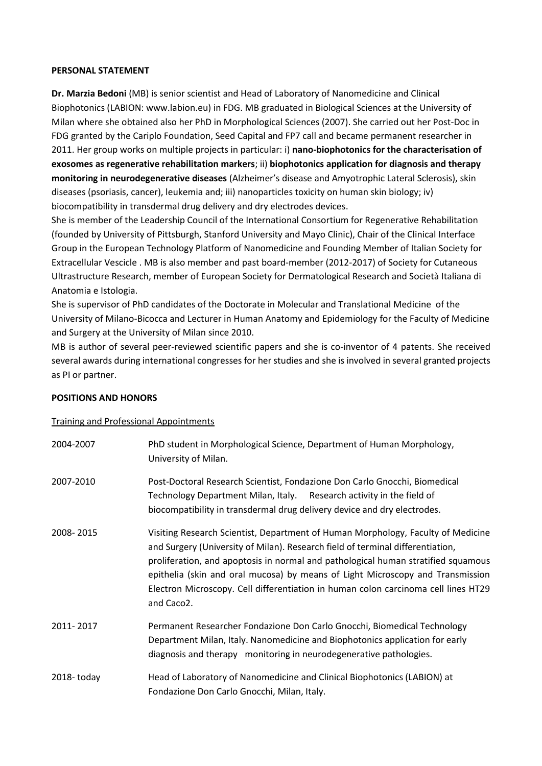### **PERSONAL STATEMENT**

**Dr. Marzia Bedoni** (MB) is senior scientist and Head of Laboratory of Nanomedicine and Clinical Biophotonics (LABION: www.labion.eu) in FDG. MB graduated in Biological Sciences at the University of Milan where she obtained also her PhD in Morphological Sciences (2007). She carried out her Post-Doc in FDG granted by the Cariplo Foundation, Seed Capital and FP7 call and became permanent researcher in 2011. Her group works on multiple projects in particular: i) **nano-biophotonics for the characterisation of exosomes as regenerative rehabilitation markers**; ii) **biophotonics application for diagnosis and therapy monitoring in neurodegenerative diseases** (Alzheimer's disease and Amyotrophic Lateral Sclerosis), skin diseases (psoriasis, cancer), leukemia and; iii) nanoparticles toxicity on human skin biology; iv) biocompatibility in transdermal drug delivery and dry electrodes devices.

She is member of the Leadership Council of the International Consortium for Regenerative Rehabilitation (founded by University of Pittsburgh, Stanford University and Mayo Clinic), Chair of the Clinical Interface Group in the European Technology Platform of Nanomedicine and Founding Member of Italian Society for Extracellular Vescicle . MB is also member and past board-member (2012-2017) of Society for Cutaneous Ultrastructure Research, member of European Society for Dermatological Research and Società Italiana di Anatomia e Istologia.

She is supervisor of PhD candidates of the Doctorate in Molecular and Translational Medicine of the University of Milano-Bicocca and Lecturer in Human Anatomy and Epidemiology for the Faculty of Medicine and Surgery at the University of Milan since 2010.

MB is author of several peer-reviewed scientific papers and she is co-inventor of 4 patents. She received several awards during international congresses for her studies and she is involved in several granted projects as PI or partner.

### **POSITIONS AND HONORS**

#### Training and Professional Appointments

| 2004-2007      | PhD student in Morphological Science, Department of Human Morphology,<br>University of Milan.                                                                                                                                                                                                                                                                                                                                                 |
|----------------|-----------------------------------------------------------------------------------------------------------------------------------------------------------------------------------------------------------------------------------------------------------------------------------------------------------------------------------------------------------------------------------------------------------------------------------------------|
| 2007-2010      | Post-Doctoral Research Scientist, Fondazione Don Carlo Gnocchi, Biomedical<br>Technology Department Milan, Italy. Research activity in the field of<br>biocompatibility in transdermal drug delivery device and dry electrodes.                                                                                                                                                                                                               |
| 2008-2015      | Visiting Research Scientist, Department of Human Morphology, Faculty of Medicine<br>and Surgery (University of Milan). Research field of terminal differentiation,<br>proliferation, and apoptosis in normal and pathological human stratified squamous<br>epithelia (skin and oral mucosa) by means of Light Microscopy and Transmission<br>Electron Microscopy. Cell differentiation in human colon carcinoma cell lines HT29<br>and Caco2. |
| 2011-2017      | Permanent Researcher Fondazione Don Carlo Gnocchi, Biomedical Technology<br>Department Milan, Italy. Nanomedicine and Biophotonics application for early<br>diagnosis and therapy monitoring in neurodegenerative pathologies.                                                                                                                                                                                                                |
| $2018 -$ today | Head of Laboratory of Nanomedicine and Clinical Biophotonics (LABION) at<br>Fondazione Don Carlo Gnocchi, Milan, Italy.                                                                                                                                                                                                                                                                                                                       |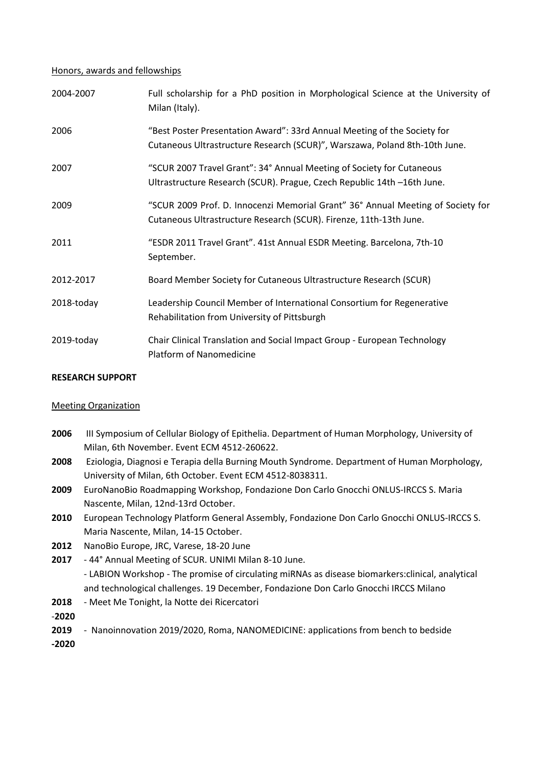### Honors, awards and fellowships

| 2004-2007  | Full scholarship for a PhD position in Morphological Science at the University of<br>Milan (Italy).                                                    |
|------------|--------------------------------------------------------------------------------------------------------------------------------------------------------|
| 2006       | "Best Poster Presentation Award": 33rd Annual Meeting of the Society for<br>Cutaneous Ultrastructure Research (SCUR)", Warszawa, Poland 8th-10th June. |
| 2007       | "SCUR 2007 Travel Grant": 34° Annual Meeting of Society for Cutaneous<br>Ultrastructure Research (SCUR). Prague, Czech Republic 14th -16th June.       |
| 2009       | "SCUR 2009 Prof. D. Innocenzi Memorial Grant" 36° Annual Meeting of Society for<br>Cutaneous Ultrastructure Research (SCUR). Firenze, 11th-13th June.  |
| 2011       | "ESDR 2011 Travel Grant". 41st Annual ESDR Meeting. Barcelona, 7th-10<br>September.                                                                    |
| 2012-2017  | Board Member Society for Cutaneous Ultrastructure Research (SCUR)                                                                                      |
| 2018-today | Leadership Council Member of International Consortium for Regenerative<br>Rehabilitation from University of Pittsburgh                                 |
| 2019-today | Chair Clinical Translation and Social Impact Group - European Technology<br>Platform of Nanomedicine                                                   |

## **RESEARCH SUPPORT**

# Meeting Organization

- **2006** III Symposium of Cellular Biology of Epithelia. Department of Human Morphology, University of Milan, 6th November. Event ECM 4512-260622.
- **2008** Eziologia, Diagnosi e Terapia della Burning Mouth Syndrome. Department of Human Morphology, University of Milan, 6th October. Event ECM 4512-8038311.
- **2009** EuroNanoBio Roadmapping Workshop, Fondazione Don Carlo Gnocchi ONLUS-IRCCS S. Maria Nascente, Milan, 12nd-13rd October.
- **2010** European Technology Platform General Assembly, Fondazione Don Carlo Gnocchi ONLUS-IRCCS S. Maria Nascente, Milan, 14-15 October.
- **2012** NanoBio Europe, JRC, Varese, 18-20 June
- **2017** 44° Annual Meeting of SCUR. UNIMI Milan 8-10 June. - LABION Workshop - The promise of circulating miRNAs as disease biomarkers:clinical, analytical and technological challenges. 19 December, Fondazione Don Carlo Gnocchi IRCCS Milano
- **2018** Meet Me Tonight, la Notte dei Ricercatori
- -**2020**
- **2019** Nanoinnovation 2019/2020, Roma, NANOMEDICINE: applications from bench to bedside
- **-2020**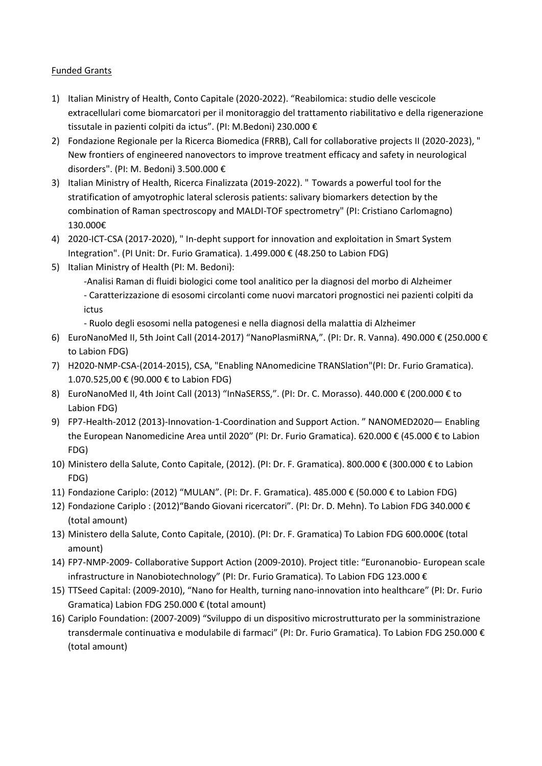# Funded Grants

- 1) Italian Ministry of Health, Conto Capitale (2020-2022). "Reabilomica: studio delle vescicole extracellulari come biomarcatori per il monitoraggio del trattamento riabilitativo e della rigenerazione tissutale in pazienti colpiti da ictus". (PI: M.Bedoni) 230.000 €
- 2) Fondazione Regionale per la Ricerca Biomedica (FRRB), Call for collaborative projects II (2020-2023), " New frontiers of engineered nanovectors to improve treatment efficacy and safety in neurological disorders". (PI: M. Bedoni) 3.500.000 €
- 3) Italian Ministry of Health, Ricerca Finalizzata (2019-2022). " Towards a powerful tool for the stratification of amyotrophic lateral sclerosis patients: salivary biomarkers detection by the combination of Raman spectroscopy and MALDI-TOF spectrometry" (PI: Cristiano Carlomagno) 130.000€
- 4) 2020-ICT-CSA (2017-2020), " In-depht support for innovation and exploitation in Smart System Integration". (PI Unit: Dr. Furio Gramatica). 1.499.000 € (48.250 to Labion FDG)
- 5) Italian Ministry of Health (PI: M. Bedoni):

-Analisi Raman di fluidi biologici come tool analitico per la diagnosi del morbo di Alzheimer - Caratterizzazione di esosomi circolanti come nuovi marcatori prognostici nei pazienti colpiti da ictus

- Ruolo degli esosomi nella patogenesi e nella diagnosi della malattia di Alzheimer
- 6) EuroNanoMed II, 5th Joint Call (2014-2017) "NanoPlasmiRNA,". (PI: Dr. R. Vanna). 490.000 € (250.000 € to Labion FDG)
- 7) H2020-NMP-CSA-(2014-2015), CSA, "Enabling NAnomedicine TRANSlation"(PI: Dr. Furio Gramatica). 1.070.525,00 € (90.000 € to Labion FDG)
- 8) EuroNanoMed II, 4th Joint Call (2013) "InNaSERSS,". (PI: Dr. C. Morasso). 440.000 € (200.000 € to Labion FDG)
- 9) FP7-Health-2012 (2013)-Innovation-1-Coordination and Support Action. " NANOMED2020— Enabling the European Nanomedicine Area until 2020″ (PI: Dr. Furio Gramatica). 620.000 € (45.000 € to Labion FDG)
- 10) Ministero della Salute, Conto Capitale, (2012). (PI: Dr. F. Gramatica). 800.000 € (300.000 € to Labion FDG)
- 11) Fondazione Cariplo: (2012) "MULAN". (PI: Dr. F. Gramatica). 485.000 € (50.000 € to Labion FDG)
- 12) Fondazione Cariplo : (2012)"Bando Giovani ricercatori". (PI: Dr. D. Mehn). To Labion FDG 340.000 € (total amount)
- 13) Ministero della Salute, Conto Capitale, (2010). (PI: Dr. F. Gramatica) To Labion FDG 600.000€ (total amount)
- 14) FP7-NMP-2009- Collaborative Support Action (2009-2010). Project title: "Euronanobio- European scale infrastructure in Nanobiotechnology" (PI: Dr. Furio Gramatica). To Labion FDG 123.000 €
- 15) TTSeed Capital: (2009-2010), "Nano for Health, turning nano-innovation into healthcare" (PI: Dr. Furio Gramatica) Labion FDG 250.000 € (total amount)
- 16) Cariplo Foundation: (2007-2009) "Sviluppo di un dispositivo microstrutturato per la somministrazione transdermale continuativa e modulabile di farmaci" (PI: Dr. Furio Gramatica). To Labion FDG 250.000 € (total amount)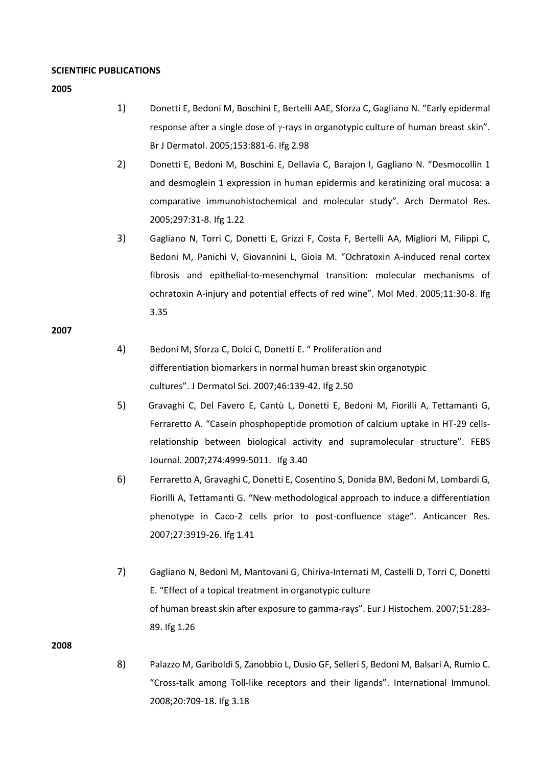#### **SCIENTIFIC PUBLICATIONS**

**2005** 

- 1) Donetti E, Bedoni M, Boschini E, Bertelli AAE, Sforza C, Gagliano N. "Early epidermal response after a single dose of  $\gamma$ -rays in organotypic culture of human breast skin". Br J Dermatol. 2005;153:881-6. Ifg 2.98
- 2) Donetti E, Bedoni M, Boschini E, Dellavia C, Barajon I, Gagliano N. "Desmocollin 1 and desmoglein 1 expression in human epidermis and keratinizing oral mucosa: a comparative immunohistochemical and molecular study". Arch Dermatol Res. 2005;297:31-8. Ifg 1.22
- 3) Gagliano N, Torri C, Donetti E, Grizzi F, Costa F, Bertelli AA, Migliori M, Filippi C, Bedoni M, Panichi V, Giovannini L, Gioia M. "Ochratoxin A-induced renal cortex fibrosis and epithelial-to-mesenchymal transition: molecular mechanisms of ochratoxin A-injury and potential effects of red wine". Mol Med. 2005;11:30-8. Ifg 3.35

#### **2007**

- 4) Bedoni M, Sforza C, Dolci C, Donetti E. " Proliferation and differentiation biomarkers in normal human breast skin organotypic cultures". J Dermatol Sci. 2007;46:139-42. Ifg 2.50
- 5) Gravaghi C, Del Favero E, Cantù L, Donetti E, Bedoni M, Fiorilli A, Tettamanti G, Ferraretto A. "Casein phosphopeptide promotion of calcium uptake in HT-29 cellsrelationship between biological activity and supramolecular structure". FEBS Journal. 2007;274:4999-5011. Ifg 3.40
- 6) Ferraretto A, Gravaghi C, Donetti E, Cosentino S, Donida BM, Bedoni M, Lombardi G, Fiorilli A, Tettamanti G. "New methodological approach to induce a differentiation phenotype in Caco-2 cells prior to post-confluence stage". Anticancer Res. 2007;27:3919-26. Ifg 1.41
- 7) Gagliano N, Bedoni M, Mantovani G, Chiriva-Internati M, Castelli D, Torri C, Donetti E. "Effect of a topical treatment in organotypic culture of human breast skin after exposure to gamma-rays". Eur J Histochem. 2007;51:283- 89. Ifg 1.26

**2008**

8) Palazzo M, Gariboldi S, Zanobbio L, Dusio GF, Selleri S, Bedoni M, Balsari A, Rumio C. "Cross-talk among Toll-like receptors and their ligands". International Immunol. 2008;20:709-18. Ifg 3.18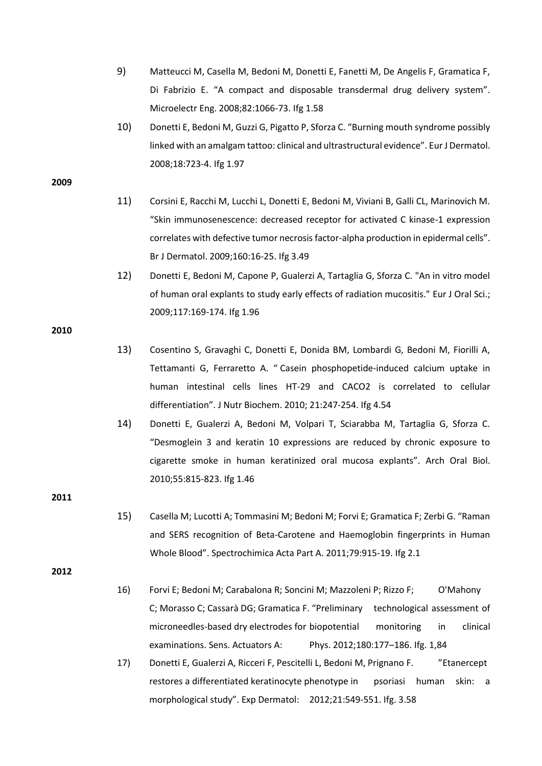- 9) Matteucci M, Casella M, Bedoni M, Donetti E, Fanetti M, De Angelis F, Gramatica F, Di Fabrizio E. "A compact and disposable transdermal drug delivery system". Microelectr Eng. 2008;82:1066-73. Ifg 1.58
- 10) Donetti E, Bedoni M, Guzzi G, Pigatto P, Sforza C. "Burning mouth syndrome possibly linked with an amalgam tattoo: clinical and ultrastructural evidence". Eur J Dermatol. 2008;18:723-4. Ifg 1.97

#### **2009**

- 11) Corsini E, Racchi M, Lucchi L, Donetti E, Bedoni M, Viviani B, Galli CL, Marinovich M. "Skin immunosenescence: decreased receptor for activated C kinase-1 expression correlates with defective tumor necrosis factor-alpha production in epidermal cells". Br J Dermatol. 2009;160:16-25. Ifg 3.49
- 12) Donetti E, Bedoni M, Capone P, Gualerzi A, Tartaglia G, Sforza C. "An in vitro model of human oral explants to study early effects of radiation mucositis." Eur J Oral Sci.; 2009;117:169-174. Ifg 1.96

**2010**

- 13) Cosentino S, Gravaghi C, Donetti E, Donida BM, Lombardi G, Bedoni M, Fiorilli A, Tettamanti G, Ferraretto A. " Casein phosphopetide-induced calcium uptake in human intestinal cells lines HT-29 and CACO2 is correlated to cellular differentiation". J Nutr Biochem. 2010; 21:247-254. Ifg 4.54
- 14) Donetti E, Gualerzi A, Bedoni M, Volpari T, Sciarabba M, Tartaglia G, Sforza C. "Desmoglein 3 and keratin 10 expressions are reduced by chronic exposure to cigarette smoke in human keratinized oral mucosa explants". Arch Oral Biol. 2010;55:815-823. Ifg 1.46

**2011**

15) Casella M; Lucotti A; Tommasini M; Bedoni M; Forvi E; Gramatica F; Zerbi G. "Raman and SERS recognition of Beta-Carotene and Haemoglobin fingerprints in Human Whole Blood". Spectrochimica Acta Part A. 2011;79:915-19. Ifg 2.1

- 16) Forvi E; Bedoni M; Carabalona R; Soncini M; Mazzoleni P; Rizzo F; O'Mahony C; Morasso C; Cassarà DG; Gramatica F. "Preliminary technological assessment of microneedles-based dry electrodes for biopotential monitoring in clinical examinations. Sens. Actuators A: Phys. 2012;180:177–186. Ifg. 1,84
- 17) Donetti E, Gualerzi A, Ricceri F, Pescitelli L, Bedoni M, Prignano F. "Etanercept restores a differentiated keratinocyte phenotype in psoriasi human skin: a morphological study". Exp Dermatol: 2012;21:549-551. Ifg. 3.58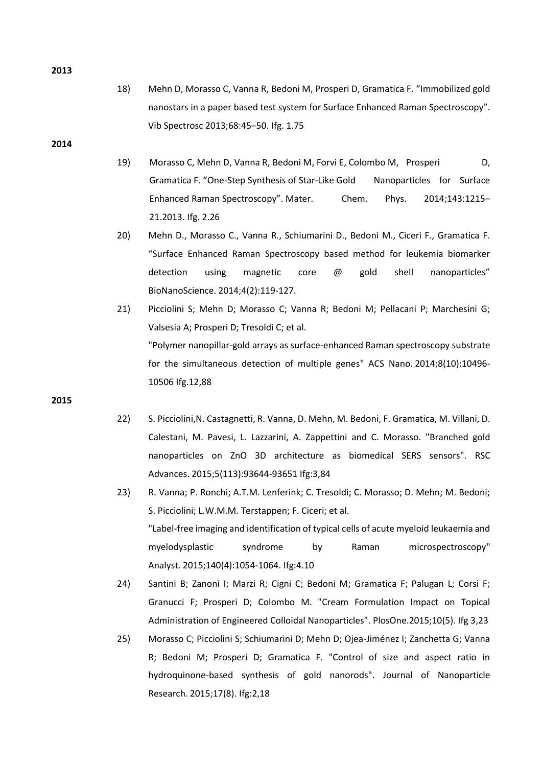- 18) Mehn D, Morasso C, Vanna R, Bedoni M, Prosperi D, Gramatica F. "Immobilized gold nanostars in a paper based test system for Surface Enhanced Raman Spectroscopy". Vib Spectrosc 2013;68:45–50. Ifg. 1.75
- **2014**
- 19) Morasso C, Mehn D, Vanna R, Bedoni M, Forvi E, Colombo M, Prosperi D, Gramatica F. "One-Step Synthesis of Star-Like Gold Nanoparticles for Surface Enhanced Raman Spectroscopy". Mater. Chem. Phys. 2014;143:1215– 21.2013. Ifg. 2.26
- 20) Mehn D., Morasso C., Vanna R., Schiumarini D., Bedoni M., Ciceri F., Gramatica F. "Surface Enhanced Raman Spectroscopy based method for leukemia biomarker detection using magnetic core @ gold shell nanoparticles" BioNanoScience. 2014;4(2):119-127.
- 21) Picciolini S; Mehn D; Morasso C; Vanna R; Bedoni M; Pellacani P; Marchesini G; Valsesia A; Prosperi D; Tresoldi C; et al. ["Polymer nanopillar-gold arrays as surface-enhanced Raman spectroscopy substrate](http://www.experts.scival.com/moh-it/pubDetail.asp?t=pm&id=84908440068&n=Marzia+Bedoni&u_id=6754&oe_id=1&o_id=43)  [for the simultaneous detection of multiple genes](http://www.experts.scival.com/moh-it/pubDetail.asp?t=pm&id=84908440068&n=Marzia+Bedoni&u_id=6754&oe_id=1&o_id=43)" ACS Nano. 2014;8(10):10496- 10506 Ifg.12,88

**2015**

- 22) S. Picciolini,N. Castagnetti, R. Vanna, D. Mehn, M. Bedoni, F. Gramatica, M. Villani, D. Calestani, M. Pavesi, L. Lazzarini, A. Zappettini and C. Morasso. "Branched gold nanoparticles on ZnO 3D architecture as biomedical SERS sensors". RSC Advances. 2015;5(113):93644-93651 Ifg:3,84
- 23) R. Vanna; P. Ronchi; A.T.M. Lenferink; C. Tresoldi; C. Morasso; D. Mehn; M. Bedoni; S. Picciolini; L.W.M.M. Terstappen; F. Ciceri; et al. ["Label-free imaging and identification of typical cells of acute myeloid leukaemia and](http://www.experts.scival.com/moh-it/pubDetail.asp?t=pm&id=84922454165&n=Marzia+Bedoni&u_id=6754&oe_id=1&o_id=43)  [myelodysplastic syndrome by Raman microspectroscopy"](http://www.experts.scival.com/moh-it/pubDetail.asp?t=pm&id=84922454165&n=Marzia+Bedoni&u_id=6754&oe_id=1&o_id=43) Analyst. 2015;140(4):1054-1064. Ifg:4.10
- 24) Santini B; Zanoni I; Marzi R; Cigni C; Bedoni M; Gramatica F; Palugan L; Corsi F; Granucci F; Prosperi D; Colombo M. "Cream Formulation Impact on Topical Administration of Engineered Colloidal Nanoparticles". PlosOne.2015;10(5). Ifg 3,23
- 25) Morasso C; Picciolini S; Schiumarini D; Mehn D; Ojea-Jiménez I; Zanchetta G; Vanna R; Bedoni M; Prosperi D; Gramatica F. "Control of size and aspect ratio in hydroquinone-based synthesis of gold nanorods". Journal of Nanoparticle Research. 2015;17(8). Ifg:2,18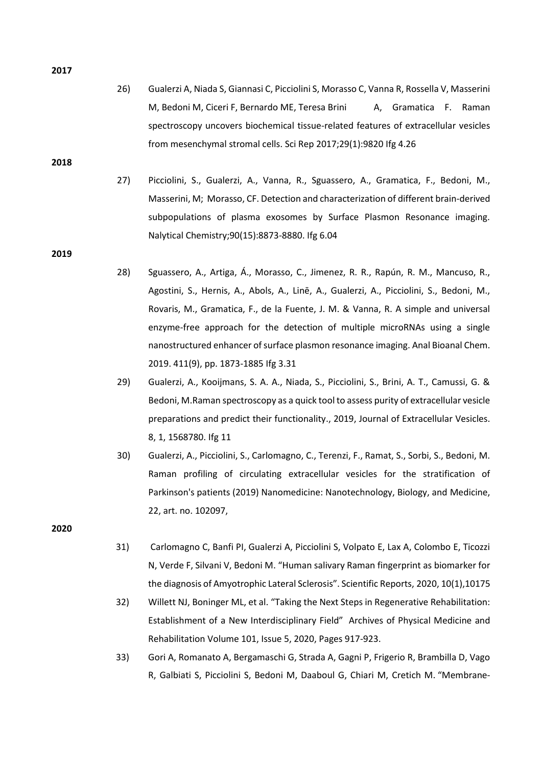26) Gualerzi A, Niada S, Giannasi C, Picciolini S, Morasso C, Vanna R, Rossella V, Masserini M, Bedoni M, Ciceri F, Bernardo ME, Teresa Brini A, Gramatica F. Raman spectroscopy uncovers biochemical tissue-related features of extracellular vesicles from mesenchymal stromal cells. Sci Rep 2017;29(1):9820 Ifg 4.26

**2018**

27) Picciolini, S., Gualerzi, A., Vanna, R., Sguassero, A., Gramatica, F., Bedoni, M., Masserini, M; Morasso, CF. Detection and characterization of different brain-derived subpopulations of plasma exosomes by Surface Plasmon Resonance imaging. Nalytical Chemistry;90(15):8873-8880. Ifg 6.04

**2019**

- 28) Sguassero, A., Artiga, Á., Morasso, C., Jimenez, R. R., Rapún, R. M., Mancuso, R., Agostini, S., Hernis, A., Abols, A., Linē, A., Gualerzi, A., Picciolini, S., Bedoni, M., Rovaris, M., Gramatica, F., de la Fuente, J. M. & Vanna, R. A simple and universal enzyme-free approach for the detection of multiple microRNAs using a single nanostructured enhancer of surface plasmon resonance imaging. Anal Bioanal Chem. 2019. 411(9), pp. 1873-1885 Ifg 3.31
- 29) Gualerzi, A., Kooijmans, S. A. A., Niada, S., Picciolini, S., Brini, A. T., Camussi, G. & Bedoni, M[.Raman spectroscopy as a quick tool to assess purity of extracellular vesicle](https://moh-it.pure.elsevier.com/en/publications/raman-spectroscopy-as-a-quick-tool-to-assess-purity-of-extracellu)  [preparations and predict their functionality.](https://moh-it.pure.elsevier.com/en/publications/raman-spectroscopy-as-a-quick-tool-to-assess-purity-of-extracellu), 2019, Journal of Extracellular Vesicles. 8, 1, 1568780. Ifg 11
- 30) Gualerzi, A., Picciolini, S., Carlomagno, C., Terenzi, F., Ramat, S., Sorbi, S., Bedoni, M. Raman profiling of circulating extracellular vesicles for the stratification of Parkinson's patients (2019) Nanomedicine: Nanotechnology, Biology, and Medicine, 22, art. no. 102097,

**2020**

- 31) Carlomagno C, Banfi PI, Gualerzi A, Picciolini S, Volpato E, Lax A, Colombo E, Ticozzi N, Verde F, Silvani V, Bedoni M. "Human salivary Raman fingerprint as biomarker for the diagnosis of Amyotrophic Lateral Sclerosis". Scientific Reports, 2020, 10(1),10175
- 32) Willett NJ, Boninger ML, et al. "[Taking the Next Steps in Regenerative Rehabilitation:](https://www.sciencedirect.com/science/article/pii/S0003999320300794?dgcid=coauthor)  [Establishment of a New Inter](https://www.sciencedirect.com/science/article/pii/S0003999320300794?dgcid=coauthor)disciplinary Field" Archives of Physical Medicine and Rehabilitation Volume 101, Issue 5, 2020, Pages 917-923.
- 33) Gori A, Romanato A, Bergamaschi G, Strada A, Gagni P, Frigerio R, Brambilla D, Vago R, Galbiati S, Picciolini S, Bedoni M, Daaboul G, Chiari M, Cretich M. "[Membrane-](https://www.tandfonline.com/doi/pdf/10.1080/20013078.2020.1751428?needAccess=true)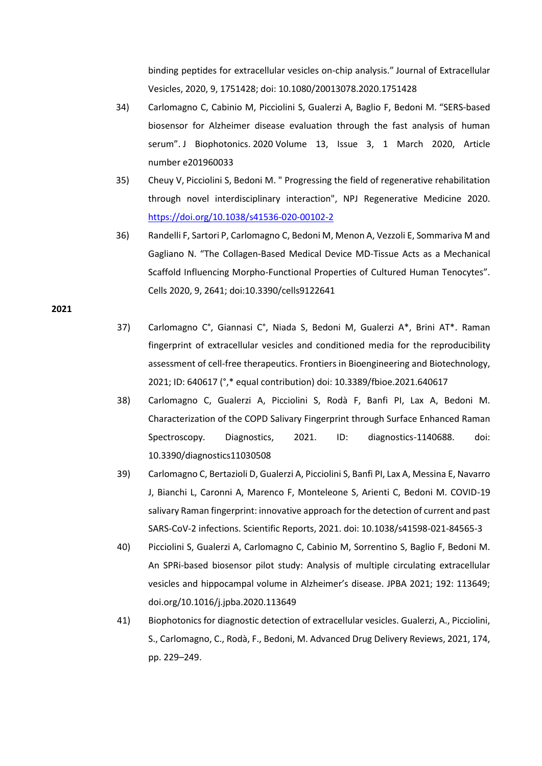[binding peptides for extracellular vesicles on-](https://www.tandfonline.com/doi/pdf/10.1080/20013078.2020.1751428?needAccess=true)chip analysis." Journal of Extracellular Vesicles, 2020, 9, 1751428; doi: 10.1080/20013078.2020.1751428

- 34) Carlomagno C, Cabinio M, Picciolini S, Gualerzi A, Baglio F, Bedoni M. "[SERS-based](http://www.labion.eu/news/labion-sers-analysis-published-journal-biophotonics/)  [biosensor for Alzheimer disease evaluation through the fast analysis of human](http://www.labion.eu/news/labion-sers-analysis-published-journal-biophotonics/)  [serum".](http://www.labion.eu/news/labion-sers-analysis-published-journal-biophotonics/) J Biophotonics. 2020 Volume 13, Issue 3, 1 March 2020, Article number e201960033
- 35) Cheuy V, Picciolini S, Bedoni M. " Progressing the field of regenerative rehabilitation through novel interdisciplinary interaction", NPJ Regenerative Medicine 2020. <https://doi.org/10.1038/s41536-020-00102-2>
- 36) Randelli F, Sartori P, Carlomagno C, Bedoni M, Menon A, Vezzoli E, Sommariva M and Gagliano N. "The Collagen-Based Medical Device MD-Tissue Acts as a Mechanical Scaffold Influencing Morpho-Functional Properties of Cultured Human Tenocytes". Cells 2020, 9, 2641; doi:10.3390/cells9122641

- 37) Carlomagno C°, Giannasi C°, Niada S, Bedoni M, Gualerzi A\*, Brini AT\*. Raman fingerprint of extracellular vesicles and conditioned media for the reproducibility assessment of cell-free therapeutics. Frontiers in Bioengineering and Biotechnology, 2021; ID: 640617 (°,\* equal contribution) doi: 10.3389/fbioe.2021.640617
- 38) Carlomagno C, Gualerzi A, Picciolini S, Rodà F, Banfi PI, Lax A, Bedoni M. Characterization of the COPD Salivary Fingerprint through Surface Enhanced Raman Spectroscopy. Diagnostics, 2021. ID: diagnostics-1140688. doi: 10.3390/diagnostics11030508
- 39) Carlomagno C, Bertazioli D, Gualerzi A, Picciolini S, Banfi PI, Lax A, Messina E, Navarro J, Bianchi L, Caronni A, Marenco F, Monteleone S, Arienti C, Bedoni M. COVID-19 salivary Raman fingerprint: innovative approach for the detection of current and past SARS-CoV-2 infections. Scientific Reports, 2021. doi: 10.1038/s41598-021-84565-3
- 40) Picciolini S, Gualerzi A, Carlomagno C, Cabinio M, Sorrentino S, Baglio F, Bedoni M. An SPRi-based biosensor pilot study: Analysis of multiple circulating extracellular vesicles and hippocampal volume in Alzheimer's disease. JPBA 2021; 192: 113649; doi.org/10.1016/j.jpba.2020.113649
- 41) Biophotonics for diagnostic detection of extracellular vesicles. Gualerzi, A., Picciolini, S., Carlomagno, C., Rodà, F., Bedoni, M. Advanced Drug Delivery Reviews, 2021, 174, pp. 229–249.